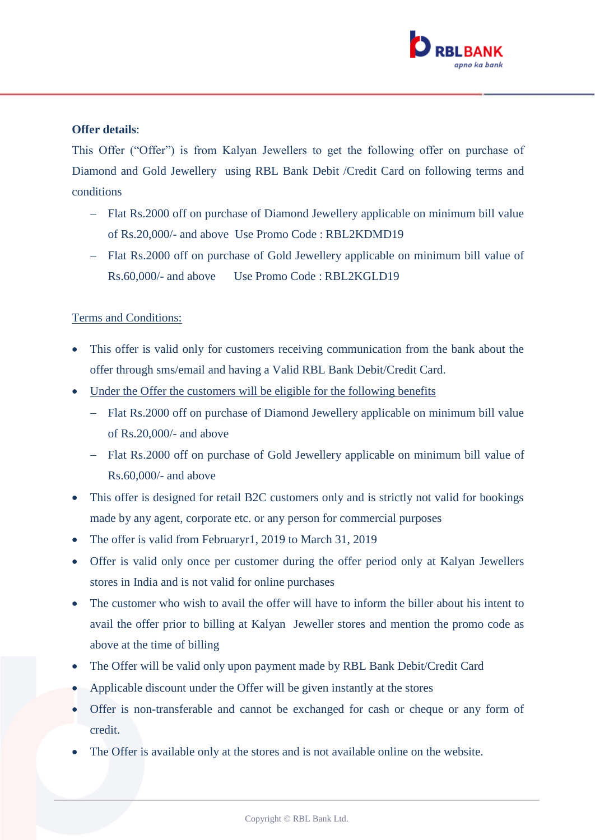

## **Offer details**:

This Offer ("Offer") is from Kalyan Jewellers to get the following offer on purchase of Diamond and Gold Jewellery using RBL Bank Debit /Credit Card on following terms and conditions

- Flat Rs.2000 off on purchase of Diamond Jewellery applicable on minimum bill value of Rs.20,000/- and above Use Promo Code : RBL2KDMD19
- Flat Rs.2000 off on purchase of Gold Jewellery applicable on minimum bill value of Rs.60,000/- and above Use Promo Code : RBL2KGLD19

## Terms and Conditions:

- This offer is valid only for customers receiving communication from the bank about the offer through sms/email and having a Valid RBL Bank Debit/Credit Card.
- Under the Offer the customers will be eligible for the following benefits
	- Flat Rs.2000 off on purchase of Diamond Jewellery applicable on minimum bill value of Rs.20,000/- and above
	- Flat Rs.2000 off on purchase of Gold Jewellery applicable on minimum bill value of Rs.60,000/- and above
- This offer is designed for retail B2C customers only and is strictly not valid for bookings made by any agent, corporate etc. or any person for commercial purposes
- The offer is valid from Februaryr1, 2019 to March 31, 2019
- Offer is valid only once per customer during the offer period only at Kalyan Jewellers stores in India and is not valid for online purchases
- The customer who wish to avail the offer will have to inform the biller about his intent to avail the offer prior to billing at Kalyan Jeweller stores and mention the promo code as above at the time of billing
- The Offer will be valid only upon payment made by RBL Bank Debit/Credit Card
- Applicable discount under the Offer will be given instantly at the stores
- Offer is non-transferable and cannot be exchanged for cash or cheque or any form of credit.
- The Offer is available only at the stores and is not available online on the website.